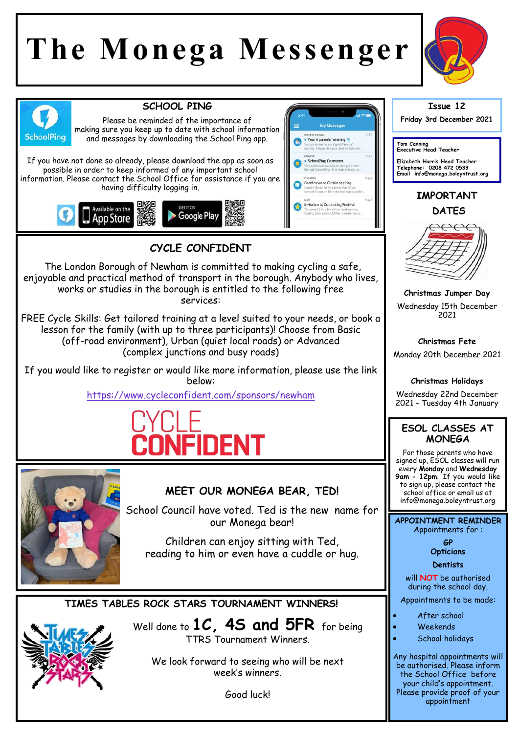# **The Monega Messenger**



appointment